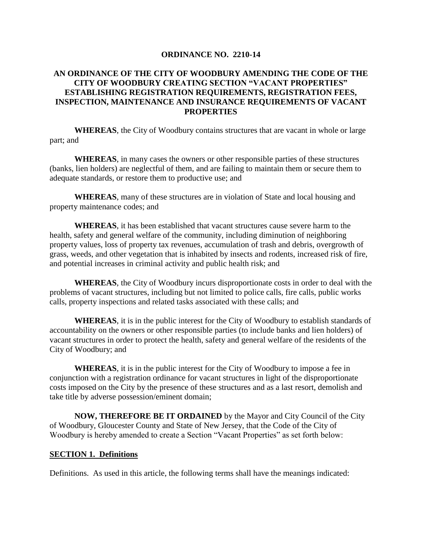#### **ORDINANCE NO. 2210-14**

#### **AN ORDINANCE OF THE CITY OF WOODBURY AMENDING THE CODE OF THE CITY OF WOODBURY CREATING SECTION "VACANT PROPERTIES" ESTABLISHING REGISTRATION REQUIREMENTS, REGISTRATION FEES, INSPECTION, MAINTENANCE AND INSURANCE REQUIREMENTS OF VACANT PROPERTIES**

**WHEREAS**, the City of Woodbury contains structures that are vacant in whole or large part; and

**WHEREAS**, in many cases the owners or other responsible parties of these structures (banks, lien holders) are neglectful of them, and are failing to maintain them or secure them to adequate standards, or restore them to productive use; and

**WHEREAS**, many of these structures are in violation of State and local housing and property maintenance codes; and

**WHEREAS**, it has been established that vacant structures cause severe harm to the health, safety and general welfare of the community, including diminution of neighboring property values, loss of property tax revenues, accumulation of trash and debris, overgrowth of grass, weeds, and other vegetation that is inhabited by insects and rodents, increased risk of fire, and potential increases in criminal activity and public health risk; and

**WHEREAS**, the City of Woodbury incurs disproportionate costs in order to deal with the problems of vacant structures, including but not limited to police calls, fire calls, public works calls, property inspections and related tasks associated with these calls; and

**WHEREAS**, it is in the public interest for the City of Woodbury to establish standards of accountability on the owners or other responsible parties (to include banks and lien holders) of vacant structures in order to protect the health, safety and general welfare of the residents of the City of Woodbury; and

**WHEREAS**, it is in the public interest for the City of Woodbury to impose a fee in conjunction with a registration ordinance for vacant structures in light of the disproportionate costs imposed on the City by the presence of these structures and as a last resort, demolish and take title by adverse possession/eminent domain;

**NOW, THEREFORE BE IT ORDAINED** by the Mayor and City Council of the City of Woodbury, Gloucester County and State of New Jersey, that the Code of the City of Woodbury is hereby amended to create a Section "Vacant Properties" as set forth below:

#### **SECTION 1. Definitions**

Definitions. As used in this article, the following terms shall have the meanings indicated: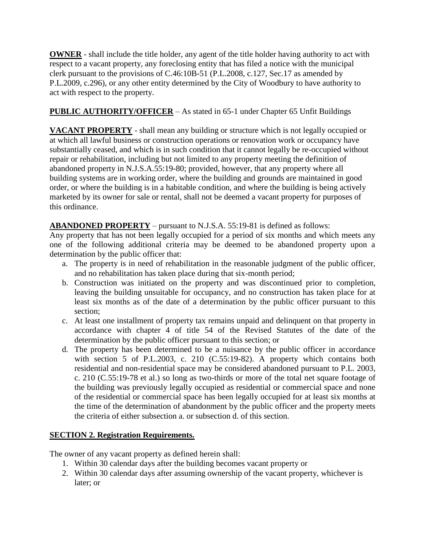**OWNER** - shall include the title holder, any agent of the title holder having authority to act with respect to a vacant property, any foreclosing entity that has filed a notice with the municipal clerk pursuant to the provisions of C.46:10B-51 (P.L.2008, c.127, Sec.17 as amended by P.L.2009, c.296), or any other entity determined by the City of Woodbury to have authority to act with respect to the property.

# **PUBLIC AUTHORITY/OFFICER** – As stated in 65-1 under Chapter 65 Unfit Buildings

**VACANT PROPERTY** - shall mean any building or structure which is not legally occupied or at which all lawful business or construction operations or renovation work or occupancy have substantially ceased, and which is in such condition that it cannot legally be re-occupied without repair or rehabilitation, including but not limited to any property meeting the definition of abandoned property in N.J.S.A.55:19-80; provided, however, that any property where all building systems are in working order, where the building and grounds are maintained in good order, or where the building is in a habitable condition, and where the building is being actively marketed by its owner for sale or rental, shall not be deemed a vacant property for purposes of this ordinance.

**ABANDONED PROPERTY** – pursuant to N.J.S.A. 55:19-81 is defined as follows:

Any property that has not been legally occupied for a period of six months and which meets any one of the following additional criteria may be deemed to be abandoned property upon a determination by the public officer that:

- a. The property is in need of rehabilitation in the reasonable judgment of the public officer, and no rehabilitation has taken place during that six-month period;
- b. Construction was initiated on the property and was discontinued prior to completion, leaving the building unsuitable for occupancy, and no construction has taken place for at least six months as of the date of a determination by the public officer pursuant to this section;
- c. At least one installment of property tax remains unpaid and delinquent on that property in accordance with chapter 4 of title 54 of the Revised Statutes of the date of the determination by the public officer pursuant to this section; or
- d. The property has been determined to be a nuisance by the public officer in accordance with section 5 of P.L.2003, c. 210 (C.55:19-82). A property which contains both residential and non-residential space may be considered abandoned pursuant to P.L. 2003, c. 210 (C.55:19-78 et al.) so long as two-thirds or more of the total net square footage of the building was previously legally occupied as residential or commercial space and none of the residential or commercial space has been legally occupied for at least six months at the time of the determination of abandonment by the public officer and the property meets the criteria of either subsection a. or subsection d. of this section.

# **SECTION 2. Registration Requirements.**

The owner of any vacant property as defined herein shall:

- 1. Within 30 calendar days after the building becomes vacant property or
- 2. Within 30 calendar days after assuming ownership of the vacant property, whichever is later; or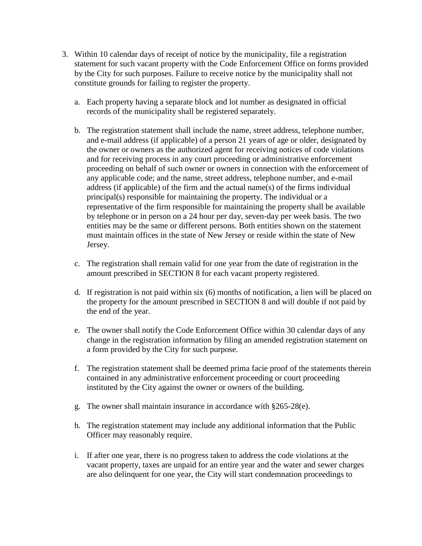- 3. Within 10 calendar days of receipt of notice by the municipality, file a registration statement for such vacant property with the Code Enforcement Office on forms provided by the City for such purposes. Failure to receive notice by the municipality shall not constitute grounds for failing to register the property.
	- a. Each property having a separate block and lot number as designated in official records of the municipality shall be registered separately.
	- b. The registration statement shall include the name, street address, telephone number, and e-mail address (if applicable) of a person 21 years of age or older, designated by the owner or owners as the authorized agent for receiving notices of code violations and for receiving process in any court proceeding or administrative enforcement proceeding on behalf of such owner or owners in connection with the enforcement of any applicable code; and the name, street address, telephone number, and e-mail address (if applicable) of the firm and the actual name(s) of the firms individual principal(s) responsible for maintaining the property. The individual or a representative of the firm responsible for maintaining the property shall be available by telephone or in person on a 24 hour per day, seven-day per week basis. The two entities may be the same or different persons. Both entities shown on the statement must maintain offices in the state of New Jersey or reside within the state of New Jersey.
	- c. The registration shall remain valid for one year from the date of registration in the amount prescribed in SECTION 8 for each vacant property registered.
	- d. If registration is not paid within six (6) months of notification, a lien will be placed on the property for the amount prescribed in SECTION 8 and will double if not paid by the end of the year.
	- e. The owner shall notify the Code Enforcement Office within 30 calendar days of any change in the registration information by filing an amended registration statement on a form provided by the City for such purpose.
	- f. The registration statement shall be deemed prima facie proof of the statements therein contained in any administrative enforcement proceeding or court proceeding instituted by the City against the owner or owners of the building.
	- g. The owner shall maintain insurance in accordance with §265-28(e).
	- h. The registration statement may include any additional information that the Public Officer may reasonably require.
	- i. If after one year, there is no progress taken to address the code violations at the vacant property, taxes are unpaid for an entire year and the water and sewer charges are also delinquent for one year, the City will start condemnation proceedings to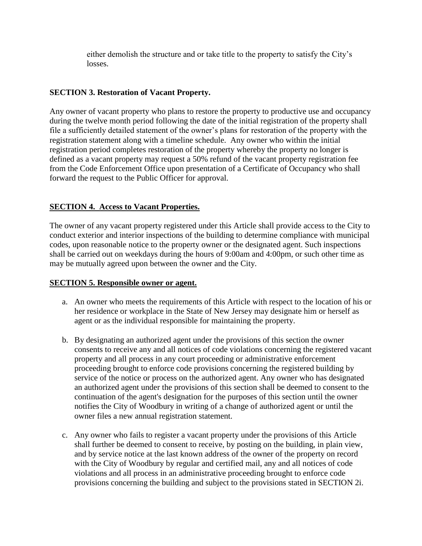either demolish the structure and or take title to the property to satisfy the City's losses.

### **SECTION 3. Restoration of Vacant Property.**

Any owner of vacant property who plans to restore the property to productive use and occupancy during the twelve month period following the date of the initial registration of the property shall file a sufficiently detailed statement of the owner's plans for restoration of the property with the registration statement along with a timeline schedule. Any owner who within the initial registration period completes restoration of the property whereby the property no longer is defined as a vacant property may request a 50% refund of the vacant property registration fee from the Code Enforcement Office upon presentation of a Certificate of Occupancy who shall forward the request to the Public Officer for approval.

## **SECTION 4. Access to Vacant Properties.**

The owner of any vacant property registered under this Article shall provide access to the City to conduct exterior and interior inspections of the building to determine compliance with municipal codes, upon reasonable notice to the property owner or the designated agent. Such inspections shall be carried out on weekdays during the hours of 9:00am and 4:00pm, or such other time as may be mutually agreed upon between the owner and the City.

#### **SECTION 5. Responsible owner or agent.**

- a. An owner who meets the requirements of this Article with respect to the location of his or her residence or workplace in the State of New Jersey may designate him or herself as agent or as the individual responsible for maintaining the property.
- b. By designating an authorized agent under the provisions of this section the owner consents to receive any and all notices of code violations concerning the registered vacant property and all process in any court proceeding or administrative enforcement proceeding brought to enforce code provisions concerning the registered building by service of the notice or process on the authorized agent. Any owner who has designated an authorized agent under the provisions of this section shall be deemed to consent to the continuation of the agent's designation for the purposes of this section until the owner notifies the City of Woodbury in writing of a change of authorized agent or until the owner files a new annual registration statement.
- c. Any owner who fails to register a vacant property under the provisions of this Article shall further be deemed to consent to receive, by posting on the building, in plain view, and by service notice at the last known address of the owner of the property on record with the City of Woodbury by regular and certified mail, any and all notices of code violations and all process in an administrative proceeding brought to enforce code provisions concerning the building and subject to the provisions stated in SECTION 2i.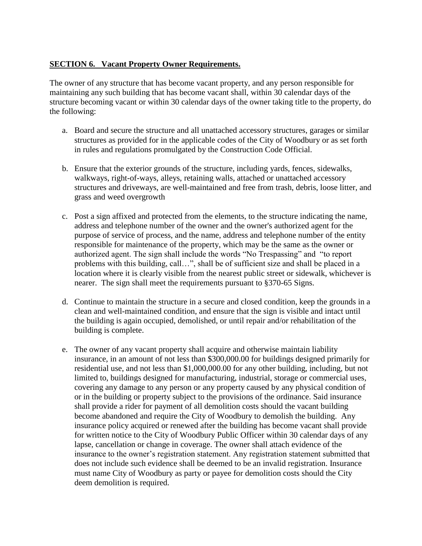### **SECTION 6. Vacant Property Owner Requirements.**

The owner of any structure that has become vacant property, and any person responsible for maintaining any such building that has become vacant shall, within 30 calendar days of the structure becoming vacant or within 30 calendar days of the owner taking title to the property, do the following:

- a. Board and secure the structure and all unattached accessory structures, garages or similar structures as provided for in the applicable codes of the City of Woodbury or as set forth in rules and regulations promulgated by the Construction Code Official.
- b. Ensure that the exterior grounds of the structure, including yards, fences, sidewalks, walkways, right-of-ways, alleys, retaining walls, attached or unattached accessory structures and driveways, are well-maintained and free from trash, debris, loose litter, and grass and weed overgrowth
- c. Post a sign affixed and protected from the elements, to the structure indicating the name, address and telephone number of the owner and the owner's authorized agent for the purpose of service of process, and the name, address and telephone number of the entity responsible for maintenance of the property, which may be the same as the owner or authorized agent. The sign shall include the words "No Trespassing" and "to report problems with this building, call…", shall be of sufficient size and shall be placed in a location where it is clearly visible from the nearest public street or sidewalk, whichever is nearer. The sign shall meet the requirements pursuant to §370-65 Signs.
- d. Continue to maintain the structure in a secure and closed condition, keep the grounds in a clean and well-maintained condition, and ensure that the sign is visible and intact until the building is again occupied, demolished, or until repair and/or rehabilitation of the building is complete.
- e. The owner of any vacant property shall acquire and otherwise maintain liability insurance, in an amount of not less than \$300,000.00 for buildings designed primarily for residential use, and not less than \$1,000,000.00 for any other building, including, but not limited to, buildings designed for manufacturing, industrial, storage or commercial uses, covering any damage to any person or any property caused by any physical condition of or in the building or property subject to the provisions of the ordinance. Said insurance shall provide a rider for payment of all demolition costs should the vacant building become abandoned and require the City of Woodbury to demolish the building. Any insurance policy acquired or renewed after the building has become vacant shall provide for written notice to the City of Woodbury Public Officer within 30 calendar days of any lapse, cancellation or change in coverage. The owner shall attach evidence of the insurance to the owner's registration statement. Any registration statement submitted that does not include such evidence shall be deemed to be an invalid registration. Insurance must name City of Woodbury as party or payee for demolition costs should the City deem demolition is required.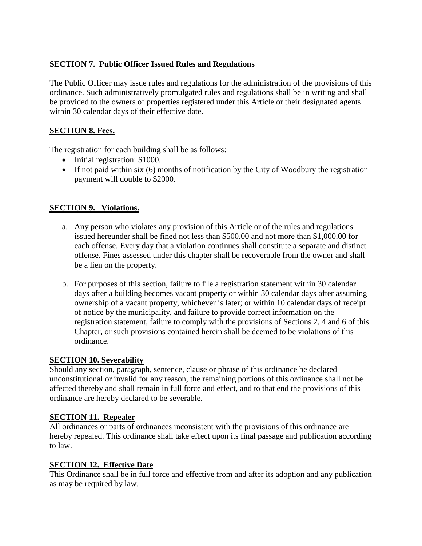# **SECTION 7. Public Officer Issued Rules and Regulations**

The Public Officer may issue rules and regulations for the administration of the provisions of this ordinance. Such administratively promulgated rules and regulations shall be in writing and shall be provided to the owners of properties registered under this Article or their designated agents within 30 calendar days of their effective date.

## **SECTION 8. Fees.**

The registration for each building shall be as follows:

- Initial registration: \$1000.
- If not paid within six (6) months of notification by the City of Woodbury the registration payment will double to \$2000.

## **SECTION 9. Violations.**

- a. Any person who violates any provision of this Article or of the rules and regulations issued hereunder shall be fined not less than \$500.00 and not more than \$1,000.00 for each offense. Every day that a violation continues shall constitute a separate and distinct offense. Fines assessed under this chapter shall be recoverable from the owner and shall be a lien on the property.
- b. For purposes of this section, failure to file a registration statement within 30 calendar days after a building becomes vacant property or within 30 calendar days after assuming ownership of a vacant property, whichever is later; or within 10 calendar days of receipt of notice by the municipality, and failure to provide correct information on the registration statement, failure to comply with the provisions of Sections 2, 4 and 6 of this Chapter, or such provisions contained herein shall be deemed to be violations of this ordinance.

## **SECTION 10. Severability**

Should any section, paragraph, sentence, clause or phrase of this ordinance be declared unconstitutional or invalid for any reason, the remaining portions of this ordinance shall not be affected thereby and shall remain in full force and effect, and to that end the provisions of this ordinance are hereby declared to be severable.

## **SECTION 11. Repealer**

All ordinances or parts of ordinances inconsistent with the provisions of this ordinance are hereby repealed. This ordinance shall take effect upon its final passage and publication according to law.

## **SECTION 12. Effective Date**

This Ordinance shall be in full force and effective from and after its adoption and any publication as may be required by law.